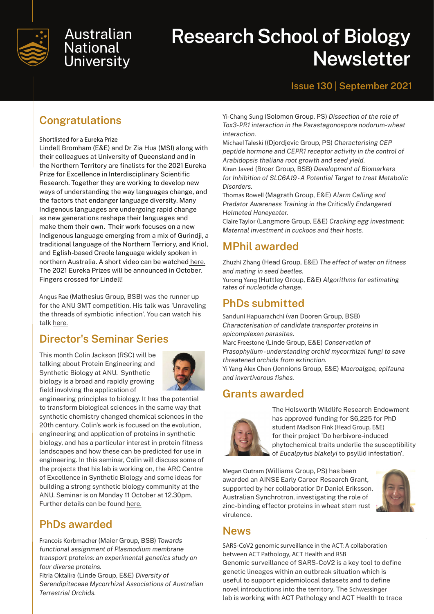

# Australian **National University**

# **Research School of Biology Newsletter**

#### **Issue 130 | September 2021**

# **Congratulations**

#### Shortlisted for a Eureka Prize

Lindell Bromham (E&E) and Dr Zia Hua (MSI) along with their colleagues at University of Queensland and in the Northern Territory are finalists for the 2021 Eureka Prize for Excellence in Interdisciplinary Scientific Research. Together they are working to develop new ways of understanding the way languages change, and the factors that endanger language diversity. Many Indigenous languages are undergoing rapid change as new generations reshape their languages and make them their own. Their work focuses on a new Indigenous language emerging from a mix of Gurindji, a traditional language of the Northern Terriory, and Kriol, and Eglish-based Creole language widely spoken in northern Australia. A short video can be watched [here.](https://www.youtube.com/watch?v=I1piEMnvaqo) The 2021 Eureka Prizes will be announced in October. Fingers crossed for Lindell!

Angus Rae (Mathesius Group, BSB) was the runner up for the ANU 3MT competition. His talk was 'Unraveling the threads of symbiotic infection'. You can watch his talk [here.](https://www.youtube.com/watch?v=QvQGQFls4L4)

## **Director's Seminar Series**

This month Colin Jackson (RSC) will be talking about Protein Engineering and Synthetic Biology at ANU. Synthetic biology is a broad and rapidly growing field involving the application of



engineering principles to biology. It has the potential to transform biological sciences in the same way that synthetic chemistry changed chemical sciences in the 20th century. Colin's work is focused on the evolution, engineering and application of proteins in synthetic biology, and has a particular interest in protein fitness landscapes and how these can be predicted for use in engineering. In this seminar, Colin will discuss some of the projects that his lab is working on, the ARC Centre of Excellence in Synthetic Biology and some ideas for building a strong synthetic biology community at the ANU. Seminar is on Monday 11 October at 12.30pm. Further details can be found [here.](https://biology.anu.edu.au/news-events/events)

# **PhDs awarded**

Francois Korbmacher (Maier Group, BSB) *Towards functional assignment of Plasmodium membrane transport proteins: an experimental genetics study on four diverse proteins.*

Fitria Oktalira (Linde Group, E&E) *Diversity of Serendipitaceae Mycorrhizal Associations of Australian Terrestrial Orchids.*

Yi-Chang Sung (Solomon Group, PS) *Dissection of the role of Tox3-PR1 interaction in the Parastagonospora nodorum-wheat interaction.*

Michael Taleski ((Djordjevic Group, PS) *Characterising CEP peptide hormone and CEPR1 receptor activity in the control of Arabidopsis thaliana root growth and seed yield.* Kiran Javed (Broer Group, BSB) *Development of Biomarkers for Inhibition of SLC6A19 - A Potential Target to treat Metabolic Disorders.*

Thomas Rowell (Magrath Group, E&E) *Alarm Calling and Predator Awareness Training in the Critically Endangered Helmeted Honeyeater.*

Claire Taylor (Langmore Group, E&E) *Cracking egg investment: Maternal investment in cuckoos and their hosts.*

## **MPhil awarded**

Zhuzhi Zhang (Head Group, E&E) *The effect of water on fitness and mating in seed beetles.*

Yurong Yang (Huttley Group, E&E) *Algorithms for estimating rates of nucleotide change.*

#### **PhDs submitted**

Sanduni Hapuarachchi (van Dooren Group, BSB) *Characterisation of candidate transporter proteins in apicomplexan parasites.*

Marc Freestone (Linde Group, E&E) *Conservation of Prasophyllum - understanding orchid mycorrhizal fungi to save threatened orchids from extinction.*

Yi Yang Alex Chen (Jennions Group, E&E) *Macroalgae, epifauna and invertivorous fishes.*

#### **Grants awarded**



The Holsworth WIldlife Research Endowment has approved funding for \$6,225 for PhD student Madison Fink (Head Group, E&E) for their project 'Do herbivore-induced phytochemical traits underlie the susceptibility of *Eucalpytus blakelyi* to psyllid infestation'.

Megan Outram (Williams Group, PS) has been awarded an AINSE Early Career Research Grant, supported by her collaboratior Dr Daniel Eriksson, Australian Synchrotron, investigating the role of zinc-binding effector proteins in wheat stem rust virulence.



#### **News**

SARS-CoV2 genomic surveillance in the ACT: A collaboration between ACT Pathology, ACT Health and RSB Genomic surveillance of SARS-CoV2 is a key tool to define genetic lineages within an outbreak situation which is useful to support epidemiolocal datasets and to define novel introductions into the territory. The Schwessinger lab is working with ACT Pathology and ACT Health to trace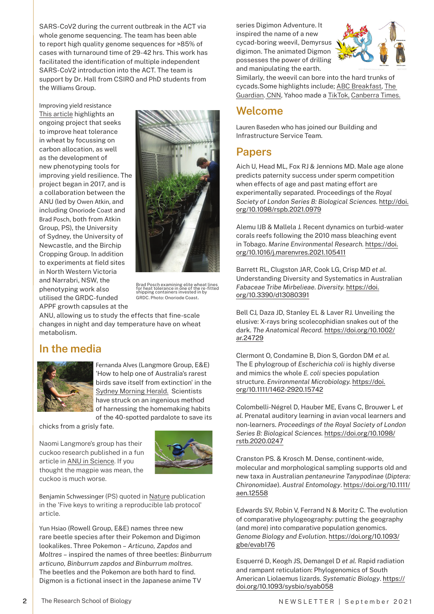SARS-CoV2 during the current outbreak in the ACT via whole genome sequencing. The team has been able to report high quality genome sequences for >85% of cases with turnaround time of 29-42 hrs. This work has facilitated the identification of multiple independent SARS-CoV2 introduction into the ACT. The team is support by Dr. Hall from CSIRO and PhD students from the Williams Group.

Improving yield resistance [This article](https://aus01.safelinks.protection.outlook.com/?url=https%3A%2F%2Fgroundcover.grdc.com.au%2Finnovation%2Fplant-breeding%2Fmachine-learning-powers-up-heat-tolerance-gains%23msdynttrid%3DkO1Ws9nQXhlsCkSlVGSHjtD5i5LvBaQsAmDO5nGXJ0I&data=04%7C01%7CBrad.Posch%40anu.edu.au%7Cd2e17f0db1f64a4223ff08d97bd9e38b%7Ce37d725cab5c46249ae5f0533e486437%7C0%7C0%7C637676998018032251%7CUnknown%7CTWFpbGZsb3d8eyJWIjoiMC4wLjAwMDAiLCJQIjoiV2luMzIiLCJBTiI6Ik1haWwiLCJXVCI6Mn0%3D%7C1000&sdata=UVNhr5g9b28ERrx2PAeE%2BlBshn6AHHrUj%2FynuIqtgxo%3D&reserved=0) highlights an ongoing project that seeks to improve heat tolerance in wheat by focussing on carbon allocation, as well as the development of new phenotyping tools for improving yield resilience. The project began in 2017, and is a collaboration between the ANU (led by Owen Atkin, and including Onoriode Coast and Brad Posch, both from Atkin Group, PS), the University of Sydney, the University of Newcastle, and the Birchip Cropping Group. In addition to experiments at field sites in North Western Victoria and Narrabri, NSW, the phenotyping work also utilised the GRDC-funded APPF growth capsules at the



Brad Posch examining elite wheat lines for heat tolerance in one of the re-fitted shipping containers invested in by GRDC. Photo: Onoriode Coast**.**

ANU, allowing us to study the effects that fine-scale changes in night and day temperature have on wheat metabolism.

#### **In the media**



Fernanda Alves (Langmore Group, E&E) 'How to help one of Australia's rarest birds save itself from extinction' in the [Sydney Morning Herald.](https://apple.news/ASo_41ozJTq6LGUehi7_5Gg) Scientists have struck on an ingenious method of harnessing the homemaking habits of the 40-spotted pardalote to save its

chicks from a grisly fate.

Naomi Langmore's group has their cuckoo research published in a fun article in [ANU in Science.](https://science.anu.edu.au/news-events/news/move-over-magpies-are-cuckoos-meanest-bird) If you thought the magpie was mean, the cuckoo is much worse.



Benjamin Schwessinger (PS) quoted in [Nature](https://www.nature.com/articles/d41586-021-02428-3) publication in the 'Five keys to writing a reproducible lab protocol' article.

Yun Hsiao (Rowell Group, E&E) names three new rare beetle species after their Pokemon and Digimon lookalikes. Three Pokemon – *Articuno, Zapdos* and *Moltres* – inspired the names of three beetles: *Binburrum articuno, Binburrum zapdos and Binburrum moltres.* The beetles and the Pokemon are both hard to find. Digmon is a fictional insect in the Japanese anime TV

series Digimon Adventure. It inspired the name of a new cycad-boring weevil, Demyrsus digimon. The animated Digmon possesses the power of drilling and manipulating the earth.



Similarly, the weevil can bore into the hard trunks of cycads.Some highlights include; [ABC Breakfast](https://aus01.safelinks.protection.outlook.com/?url=https%3A%2F%2Fwww.abc.net.au%2Fnews%2F2021-09-15%2Fcsiro-names-endangered-fly-rupaul-after-celeb-drag-queen-%2F100462730&data=04%7C01%7Cterri.richardson%40anu.edu.au%7C21077947700045ff081e08d97f11650b%7Ce37d725cab5c46249ae5f0533e486437%7C0%7C0%7C637680534947938317%7CUnknown%7CTWFpbGZsb3d8eyJWIjoiMC4wLjAwMDAiLCJQIjoiV2luMzIiLCJBTiI6Ik1haWwiLCJXVCI6Mn0%3D%7C1000&sdata=eurh9i6rtkV1WIP%2BCHBrM9RejCPs8iS5k8K9FkM4qkc%3D&reserved=0), [The](https://www.theguardian.com/australia-news/2021/sep/15/rainbow-colours-and-legs-for-days-australian-fly-species-named-after-drag-star-rupaul)  [Guardian](https://www.theguardian.com/australia-news/2021/sep/15/rainbow-colours-and-legs-for-days-australian-fly-species-named-after-drag-star-rupaul). [CNN](https://aus01.safelinks.protection.outlook.com/?url=https%3A%2F%2Fedition.cnn.com%2F2021%2F09%2F15%2Faustralia%2Frupaul-australian-fly-species-scli-intl-scn%2Findex.html&data=04%7C01%7Cterri.richardson%40anu.edu.au%7C21077947700045ff081e08d97f11650b%7Ce37d725cab5c46249ae5f0533e486437%7C0%7C0%7C637680534947948272%7CUnknown%7CTWFpbGZsb3d8eyJWIjoiMC4wLjAwMDAiLCJQIjoiV2luMzIiLCJBTiI6Ik1haWwiLCJXVCI6Mn0%3D%7C1000&sdata=brg3iswqeWc24rutmlG9UwijWGzJNlFwnxF0bC3RMFY%3D&reserved=0), Yahoo made a [TikTok,](https://aus01.safelinks.protection.outlook.com/?url=https%3A%2F%2Fau.news.yahoo.com%2Frupaul-fly-everything-know-60-025003694.html&data=04%7C01%7Cterri.richardson%40anu.edu.au%7C21077947700045ff081e08d97f11650b%7Ce37d725cab5c46249ae5f0533e486437%7C0%7C0%7C637680534947958227%7CUnknown%7CTWFpbGZsb3d8eyJWIjoiMC4wLjAwMDAiLCJQIjoiV2luMzIiLCJBTiI6Ik1haWwiLCJXVCI6Mn0%3D%7C1000&sdata=EGG7%2BbN84XY6qIAQPnYE5BPC0duSd8Lr1cdmP8Mh2G0%3D&reserved=0) [Canberra Times](https://aus01.safelinks.protection.outlook.com/?url=https%3A%2F%2Fwww.canberratimes.com.au%2Fstory%2F7431808%2Fdrag-queen-fly-among-newly-named-species%2F&data=04%7C01%7Cterri.richardson%40anu.edu.au%7C21077947700045ff081e08d97f11650b%7Ce37d725cab5c46249ae5f0533e486437%7C0%7C0%7C637680534947958227%7CUnknown%7CTWFpbGZsb3d8eyJWIjoiMC4wLjAwMDAiLCJQIjoiV2luMzIiLCJBTiI6Ik1haWwiLCJXVCI6Mn0%3D%7C1000&sdata=9hn3ZP8S6SE9z8W5QWDQER1QAR8Qyj1s7evhRAu3HLo%3D&reserved=0).

#### **Welcome**

Lauren Baseden who has joined our Building and Infrastructure Service Team.

#### **Papers**

Aich U, Head ML, Fox RJ & Jennions MD. Male age alone predicts paternity success under sperm competition when effects of age and past mating effort are experimentally separated. Proceedings of the *Royal Society of London Series B: Biological Sciences.* [http://doi.](https://royalsocietypublishing.org/doi/10.1098/rspb.2021.0979) [org/10.1098/rspb.2021.0979](https://royalsocietypublishing.org/doi/10.1098/rspb.2021.0979)

Alemu IJB & Mallela J. Recent dynamics on turbid-water corals reefs following the 2010 mass bleaching event in Tobago. *Marine Environmental Research.* [https://doi.](https://www.sciencedirect.com/science/article/abs/pii/S0141113621001677?via%3Dihub) [org/10.1016/j.marenvres.2021.105411](https://www.sciencedirect.com/science/article/abs/pii/S0141113621001677?via%3Dihub)

Barrett RL, Clugston JAR, Cook LG, Crisp MD *et al*. Understanding Diversity and Systematics in Australian *Fabaceae Tribe Mirbelieae*. *Diversity.* [https://doi.](https://www.mdpi.com/1424-2818/13/8/391) [org/10.3390/d13080391](https://www.mdpi.com/1424-2818/13/8/391)

Bell CJ, Daza JD, Stanley EL & Laver RJ. Unveiling the elusive: X-rays bring scolecophidian snakes out of the dark. *The Anatomical Record.* [https://doi.org/10.1002/](https://anatomypubs.onlinelibrary.wiley.com/doi/10.1002/ar.24729) [ar.24729](https://anatomypubs.onlinelibrary.wiley.com/doi/10.1002/ar.24729)

Clermont O, Condamine B, Dion S, Gordon DM *et al.* The E phylogroup of *Escherichia coli* is highly diverse and mimics the whole *E. coli* species population structure. *Environmental Microbiology.* [https://doi.](https://sfamjournals.onlinelibrary.wiley.com/doi/10.1111/1462-2920.15742) [org/10.1111/1462-2920.15742](https://sfamjournals.onlinelibrary.wiley.com/doi/10.1111/1462-2920.15742)

Colombelli-Négrel D, Hauber ME, Evans C, Brouwer L *et al.* Prenatal auditory learning in avian vocal learners and non-learners. *Proceedings of the Royal Society of London Series B: Biological Sciences.* [https://doi.org/10.1098/](https://royalsocietypublishing.org/doi/10.1098/rstb.2020.0247) [rstb.2020.0247](https://royalsocietypublishing.org/doi/10.1098/rstb.2020.0247)

Cranston PS. & Krosch M. Dense, continent-wide, molecular and morphological sampling supports old and new taxa in Australian *pentaneurine Tanypodinae* (*Diptera: Chironomidae*). *Austral Entomology*. [https://doi.org/10.1111/](https://onlinelibrary.wiley.com/doi/10.1111/aen.12558) [aen.12558](https://onlinelibrary.wiley.com/doi/10.1111/aen.12558)

Edwards SV, Robin V, Ferrand N & Moritz C. The evolution of comparative phylogeography: putting the geography (and more) into comparative population genomics. *Genome Biology and Evolution*. [https://doi.org/10.1093/](https://academic.oup.com/gbe/advance-article/doi/10.1093/gbe/evab176/6339579) [gbe/evab176](https://academic.oup.com/gbe/advance-article/doi/10.1093/gbe/evab176/6339579)

Esquerré D, Keogh JS, Demangel D *et al.* Rapid radiation and rampant reticulation: Phylogenomics of South American Liolaemus lizards. *Systematic Biology*. [https://](https://academic.oup.com/sysbio/advance-article/doi/10.1093/sysbio/syab058/6321249) [doi.org/10.1093/sysbio/syab058](https://academic.oup.com/sysbio/advance-article/doi/10.1093/sysbio/syab058/6321249)

**2**